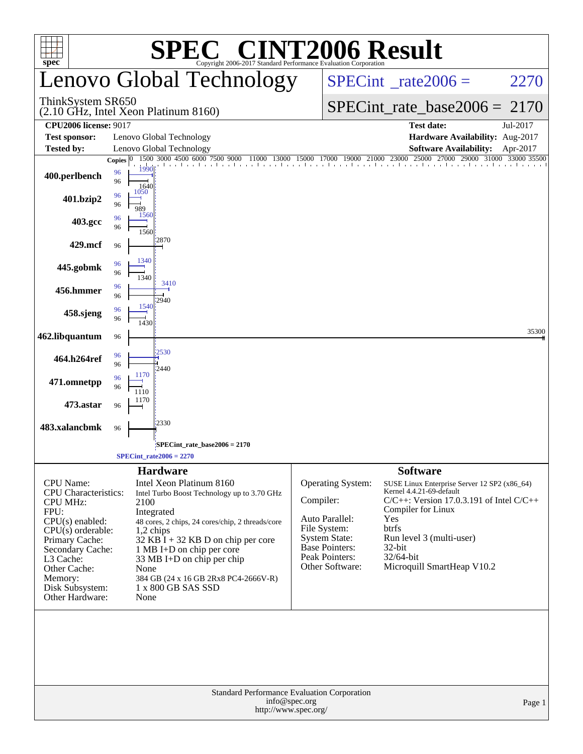| $spec^*$                                                                                                                                                                                                                            | <b>C® CINT2006 Result</b><br>Copyright 2006-2017 Standard Performance Evaluation Corporation                                                                                                                                                                                                                                                                       |                                                                                                                                                        |                                                                                                                                                                                                                                                                     |
|-------------------------------------------------------------------------------------------------------------------------------------------------------------------------------------------------------------------------------------|--------------------------------------------------------------------------------------------------------------------------------------------------------------------------------------------------------------------------------------------------------------------------------------------------------------------------------------------------------------------|--------------------------------------------------------------------------------------------------------------------------------------------------------|---------------------------------------------------------------------------------------------------------------------------------------------------------------------------------------------------------------------------------------------------------------------|
|                                                                                                                                                                                                                                     | Lenovo Global Technology                                                                                                                                                                                                                                                                                                                                           |                                                                                                                                                        | $SPECint^{\circ}$ <sub>_rate2006</sub> =<br>2270                                                                                                                                                                                                                    |
| ThinkSystem SR650                                                                                                                                                                                                                   | $(2.10 \text{ GHz}, \text{Intel Xeon Platinum } 8160)$                                                                                                                                                                                                                                                                                                             |                                                                                                                                                        | $SPECint_rate_base2006 = 2170$                                                                                                                                                                                                                                      |
| <b>CPU2006 license: 9017</b>                                                                                                                                                                                                        |                                                                                                                                                                                                                                                                                                                                                                    |                                                                                                                                                        | <b>Test date:</b><br>Jul-2017                                                                                                                                                                                                                                       |
| <b>Test sponsor:</b>                                                                                                                                                                                                                | Lenovo Global Technology                                                                                                                                                                                                                                                                                                                                           |                                                                                                                                                        | Hardware Availability: Aug-2017                                                                                                                                                                                                                                     |
| Tested by:                                                                                                                                                                                                                          | Lenovo Global Technology<br>1500 3000 4500 6000 7500 9000                                                                                                                                                                                                                                                                                                          |                                                                                                                                                        | <b>Software Availability:</b><br>Apr-2017                                                                                                                                                                                                                           |
| 400.perlbench                                                                                                                                                                                                                       | Copies $ 0 $<br>1990<br>96<br>96<br>1640<br>1050                                                                                                                                                                                                                                                                                                                   |                                                                                                                                                        | 000 4500 6000 7500 9000 11000 13000 15000 17000 19000 21000 23000 25000 27000 29000 31000 33000 35500                                                                                                                                                               |
| 401.bzip2                                                                                                                                                                                                                           | 96<br>96<br>989<br>1560                                                                                                                                                                                                                                                                                                                                            |                                                                                                                                                        |                                                                                                                                                                                                                                                                     |
| 403.gcc                                                                                                                                                                                                                             | 96<br>96<br>1560                                                                                                                                                                                                                                                                                                                                                   |                                                                                                                                                        |                                                                                                                                                                                                                                                                     |
| 429.mcf                                                                                                                                                                                                                             | :2870<br>96                                                                                                                                                                                                                                                                                                                                                        |                                                                                                                                                        |                                                                                                                                                                                                                                                                     |
| 445.gobmk                                                                                                                                                                                                                           | 1340<br>96<br>96<br>1340                                                                                                                                                                                                                                                                                                                                           |                                                                                                                                                        |                                                                                                                                                                                                                                                                     |
| 456.hmmer                                                                                                                                                                                                                           | 3410<br>96<br>96<br>2940                                                                                                                                                                                                                                                                                                                                           |                                                                                                                                                        |                                                                                                                                                                                                                                                                     |
| 458.sjeng                                                                                                                                                                                                                           | 1540<br>96<br>96<br>1430                                                                                                                                                                                                                                                                                                                                           |                                                                                                                                                        |                                                                                                                                                                                                                                                                     |
| 462.libquantum                                                                                                                                                                                                                      | 96                                                                                                                                                                                                                                                                                                                                                                 |                                                                                                                                                        | 35300                                                                                                                                                                                                                                                               |
| 464.h264ref                                                                                                                                                                                                                         | 2530<br>96<br>96<br>2440                                                                                                                                                                                                                                                                                                                                           |                                                                                                                                                        |                                                                                                                                                                                                                                                                     |
| 471.omnetpp                                                                                                                                                                                                                         | 1170<br>96<br>96<br>1110                                                                                                                                                                                                                                                                                                                                           |                                                                                                                                                        |                                                                                                                                                                                                                                                                     |
| 473.astar                                                                                                                                                                                                                           | 1170<br>96                                                                                                                                                                                                                                                                                                                                                         |                                                                                                                                                        |                                                                                                                                                                                                                                                                     |
| 483.xalancbmk                                                                                                                                                                                                                       | 2330<br>96                                                                                                                                                                                                                                                                                                                                                         |                                                                                                                                                        |                                                                                                                                                                                                                                                                     |
|                                                                                                                                                                                                                                     | SPECint_rate_base2006 = 2170;                                                                                                                                                                                                                                                                                                                                      |                                                                                                                                                        |                                                                                                                                                                                                                                                                     |
|                                                                                                                                                                                                                                     | $SPECint_rate2006 = 2270$                                                                                                                                                                                                                                                                                                                                          |                                                                                                                                                        |                                                                                                                                                                                                                                                                     |
| <b>CPU</b> Name:<br>CPU Characteristics:<br><b>CPU MHz:</b><br>FPU:<br>$CPU(s)$ enabled:<br>$CPU(s)$ orderable:<br>Primary Cache:<br>Secondary Cache:<br>L3 Cache:<br>Other Cache:<br>Memory:<br>Disk Subsystem:<br>Other Hardware: | <b>Hardware</b><br>Intel Xeon Platinum 8160<br>Intel Turbo Boost Technology up to 3.70 GHz<br>2100<br>Integrated<br>48 cores, 2 chips, 24 cores/chip, 2 threads/core<br>1,2 chips<br>$32$ KB I + 32 KB D on chip per core<br>1 MB I+D on chip per core<br>33 MB I+D on chip per chip<br>None<br>384 GB (24 x 16 GB 2Rx8 PC4-2666V-R)<br>1 x 800 GB SAS SSD<br>None | <b>Operating System:</b><br>Compiler:<br>Auto Parallel:<br>File System:<br>System State:<br><b>Base Pointers:</b><br>Peak Pointers:<br>Other Software: | <b>Software</b><br>SUSE Linux Enterprise Server 12 SP2 (x86_64)<br>Kernel 4.4.21-69-default<br>$C/C++$ : Version 17.0.3.191 of Intel $C/C++$<br>Compiler for Linux<br>Yes<br>btrfs<br>Run level 3 (multi-user)<br>32-bit<br>32/64-bit<br>Microquill SmartHeap V10.2 |
|                                                                                                                                                                                                                                     | Standard Performance Evaluation Corporation<br>info@spec.org<br>http://www.spec.org/                                                                                                                                                                                                                                                                               |                                                                                                                                                        | Page 1                                                                                                                                                                                                                                                              |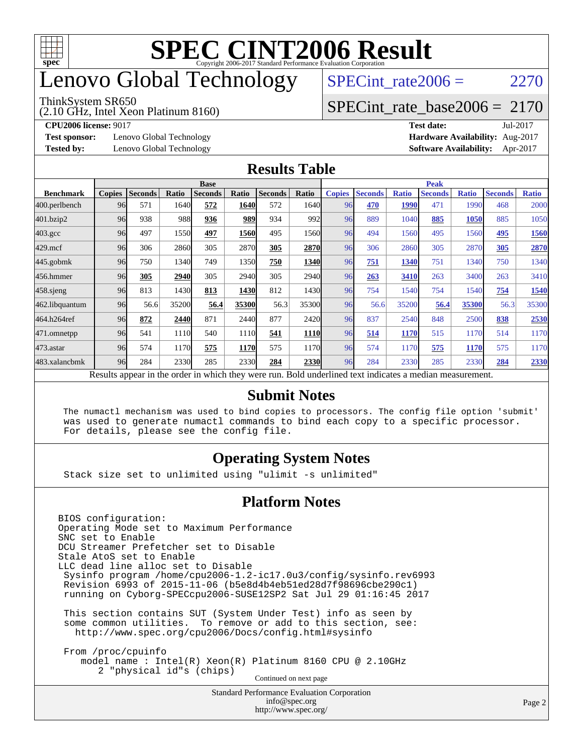

### enovo Global Technology

#### ThinkSystem SR650

(2.10 GHz, Intel Xeon Platinum 8160)

SPECint rate $2006 = 2270$ 

#### [SPECint\\_rate\\_base2006 =](http://www.spec.org/auto/cpu2006/Docs/result-fields.html#SPECintratebase2006) 2170

**[Test sponsor:](http://www.spec.org/auto/cpu2006/Docs/result-fields.html#Testsponsor)** Lenovo Global Technology **[Hardware Availability:](http://www.spec.org/auto/cpu2006/Docs/result-fields.html#HardwareAvailability)** Aug-2017

**[CPU2006 license:](http://www.spec.org/auto/cpu2006/Docs/result-fields.html#CPU2006license)** 9017 **[Test date:](http://www.spec.org/auto/cpu2006/Docs/result-fields.html#Testdate)** Jul-2017 **[Tested by:](http://www.spec.org/auto/cpu2006/Docs/result-fields.html#Testedby)** Lenovo Global Technology **[Software Availability:](http://www.spec.org/auto/cpu2006/Docs/result-fields.html#SoftwareAvailability)** Apr-2017

#### **[Results Table](http://www.spec.org/auto/cpu2006/Docs/result-fields.html#ResultsTable)**

|                                                                                                          | <b>Base</b>   |                |       |                |       |                | <b>Peak</b> |               |                |              |                |              |                |              |
|----------------------------------------------------------------------------------------------------------|---------------|----------------|-------|----------------|-------|----------------|-------------|---------------|----------------|--------------|----------------|--------------|----------------|--------------|
| <b>Benchmark</b>                                                                                         | <b>Copies</b> | <b>Seconds</b> | Ratio | <b>Seconds</b> | Ratio | <b>Seconds</b> | Ratio       | <b>Copies</b> | <b>Seconds</b> | <b>Ratio</b> | <b>Seconds</b> | <b>Ratio</b> | <b>Seconds</b> | <b>Ratio</b> |
| 400.perlbench                                                                                            | 96            | 571            | 1640  | 572            | 1640  | 572            | 1640        | 96            | 470            | 1990         | 471            | 1990         | 468            | 2000         |
| 401.bzip2                                                                                                | 96            | 938            | 988   | 936            | 989   | 934            | 992         | 96            | 889            | 1040         | 885            | 1050         | 885            | 1050         |
| $403.\mathrm{gcc}$                                                                                       | 96            | 497            | 1550  | 497            | 1560  | 495            | 1560        | 96            | 494            | 1560         | 495            | 1560         | 495            | 1560         |
| $429$ .mcf                                                                                               | 96            | 306            | 2860  | 305            | 2870  | 305            | 2870        | 96            | 306            | 2860         | 305            | 2870         | 305            | 2870         |
| $445$ .gobmk                                                                                             | 96            | 750            | 1340  | 749            | 1350  | 750            | 1340        | 96            | 751            | 1340         | 751            | 1340         | 750            | 1340         |
| 456.hmmer                                                                                                | 96            | 305            | 2940  | 305            | 2940  | 305            | 2940        | 96            | 263            | 3410         | 263            | 3400         | 263            | 3410         |
| $458$ sjeng                                                                                              | 96            | 813            | 1430  | 813            | 1430  | 812            | 1430        | 96            | 754            | 1540         | 754            | 1540         | 754            | 1540         |
| 462.libquantum                                                                                           | 96            | 56.6           | 35200 | 56.4           | 35300 | 56.3           | 35300       | 96            | 56.6           | 35200        | 56.4           | 35300        | 56.3           | 35300        |
| 464.h264ref                                                                                              | 96            | 872            | 2440  | 871            | 2440  | 877            | 2420        | 96            | 837            | 2540         | 848            | 2500         | 838            | 2530         |
| 471.omnetpp                                                                                              | 96            | 541            | 1110  | 540            | 1110  | 541            | <b>1110</b> | 96            | 514            | 1170         | 515            | 1170         | 514            | 1170         |
| $473.$ astar                                                                                             | 96            | 574            | 1170  | 575            | 1170  | 575            | 1170        | 96            | 574            | 1170         | 575            | 1170         | 575            | 1170         |
| 483.xalancbmk                                                                                            | 96            | 284            | 2330  | 285            | 2330  | 284            | 2330        | 96            | 284            | 2330         | 285            | 2330         | 284            | 2330         |
| Results appear in the order in which they were run. Bold underlined text indicates a median measurement. |               |                |       |                |       |                |             |               |                |              |                |              |                |              |

#### **[Submit Notes](http://www.spec.org/auto/cpu2006/Docs/result-fields.html#SubmitNotes)**

 The numactl mechanism was used to bind copies to processors. The config file option 'submit' was used to generate numactl commands to bind each copy to a specific processor. For details, please see the config file.

#### **[Operating System Notes](http://www.spec.org/auto/cpu2006/Docs/result-fields.html#OperatingSystemNotes)**

Stack size set to unlimited using "ulimit -s unlimited"

#### **[Platform Notes](http://www.spec.org/auto/cpu2006/Docs/result-fields.html#PlatformNotes)**

<http://www.spec.org/>

Standard Performance Evaluation Corporation [info@spec.org](mailto:info@spec.org) BIOS configuration: Operating Mode set to Maximum Performance SNC set to Enable DCU Streamer Prefetcher set to Disable Stale AtoS set to Enable LLC dead line alloc set to Disable Sysinfo program /home/cpu2006-1.2-ic17.0u3/config/sysinfo.rev6993 Revision 6993 of 2015-11-06 (b5e8d4b4eb51ed28d7f98696cbe290c1) running on Cyborg-SPECcpu2006-SUSE12SP2 Sat Jul 29 01:16:45 2017 This section contains SUT (System Under Test) info as seen by some common utilities. To remove or add to this section, see: <http://www.spec.org/cpu2006/Docs/config.html#sysinfo> From /proc/cpuinfo model name : Intel(R) Xeon(R) Platinum 8160 CPU @ 2.10GHz 2 "physical id"s (chips) Continued on next page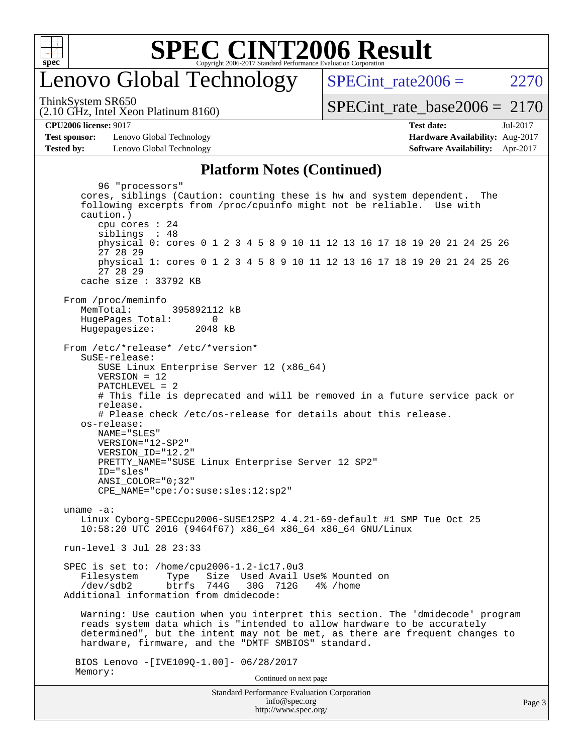

#### enovo Global Technology

SPECint rate $2006 = 2270$ 

(2.10 GHz, Intel Xeon Platinum 8160) ThinkSystem SR650

[SPECint\\_rate\\_base2006 =](http://www.spec.org/auto/cpu2006/Docs/result-fields.html#SPECintratebase2006) 2170

**[Test sponsor:](http://www.spec.org/auto/cpu2006/Docs/result-fields.html#Testsponsor)** Lenovo Global Technology **[Hardware Availability:](http://www.spec.org/auto/cpu2006/Docs/result-fields.html#HardwareAvailability)** Aug-2017 **[Tested by:](http://www.spec.org/auto/cpu2006/Docs/result-fields.html#Testedby)** Lenovo Global Technology **[Software Availability:](http://www.spec.org/auto/cpu2006/Docs/result-fields.html#SoftwareAvailability)** Apr-2017

### **[CPU2006 license:](http://www.spec.org/auto/cpu2006/Docs/result-fields.html#CPU2006license)** 9017 **[Test date:](http://www.spec.org/auto/cpu2006/Docs/result-fields.html#Testdate)** Jul-2017

#### **[Platform Notes \(Continued\)](http://www.spec.org/auto/cpu2006/Docs/result-fields.html#PlatformNotes)**

Standard Performance Evaluation Corporation [info@spec.org](mailto:info@spec.org) 96 "processors" cores, siblings (Caution: counting these is hw and system dependent. The following excerpts from /proc/cpuinfo might not be reliable. Use with caution.) cpu cores : 24 siblings : 48 physical 0: cores 0 1 2 3 4 5 8 9 10 11 12 13 16 17 18 19 20 21 24 25 26 27 28 29 physical 1: cores 0 1 2 3 4 5 8 9 10 11 12 13 16 17 18 19 20 21 24 25 26 27 28 29 cache size : 33792 KB From /proc/meminfo MemTotal: 395892112 kB HugePages\_Total: 0<br>Hugepagesize: 2048 kB Hugepagesize: From /etc/\*release\* /etc/\*version\* SuSE-release: SUSE Linux Enterprise Server 12 (x86\_64) VERSION = 12 PATCHLEVEL = 2 # This file is deprecated and will be removed in a future service pack or release. # Please check /etc/os-release for details about this release. os-release: NAME="SLES" VERSION="12-SP2" VERSION\_ID="12.2" PRETTY\_NAME="SUSE Linux Enterprise Server 12 SP2" ID="sles" ANSI\_COLOR="0;32" CPE\_NAME="cpe:/o:suse:sles:12:sp2" uname -a: Linux Cyborg-SPECcpu2006-SUSE12SP2 4.4.21-69-default #1 SMP Tue Oct 25 10:58:20 UTC 2016 (9464f67) x86\_64 x86\_64 x86\_64 GNU/Linux run-level 3 Jul 28 23:33 SPEC is set to: /home/cpu2006-1.2-ic17.0u3 Filesystem Type Size Used-Avail-Use%-Mounted-on-<br>  $\sqrt{\text{dev/sdb2}}$  btrfs 744G 30G 712G 4%-/home btrfs 744G 30G 712G 4% /home Additional information from dmidecode: Warning: Use caution when you interpret this section. The 'dmidecode' program reads system data which is "intended to allow hardware to be accurately determined", but the intent may not be met, as there are frequent changes to hardware, firmware, and the "DMTF SMBIOS" standard. BIOS Lenovo -[IVE109Q-1.00]- 06/28/2017 Memory: Continued on next page

<http://www.spec.org/>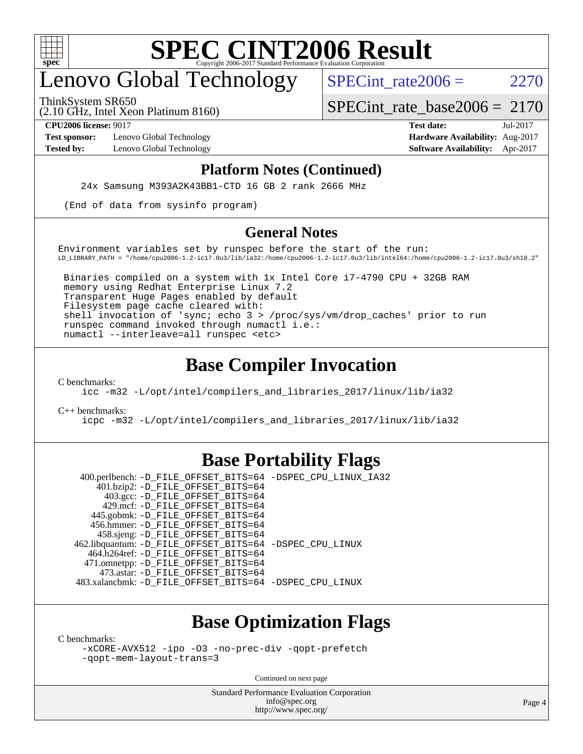

### enovo Global Technology

ThinkSystem SR650

SPECint rate $2006 = 2270$ 

(2.10 GHz, Intel Xeon Platinum 8160) [SPECint\\_rate\\_base2006 =](http://www.spec.org/auto/cpu2006/Docs/result-fields.html#SPECintratebase2006) 2170

**[Test sponsor:](http://www.spec.org/auto/cpu2006/Docs/result-fields.html#Testsponsor)** Lenovo Global Technology **[Hardware Availability:](http://www.spec.org/auto/cpu2006/Docs/result-fields.html#HardwareAvailability)** Aug-2017

**[CPU2006 license:](http://www.spec.org/auto/cpu2006/Docs/result-fields.html#CPU2006license)** 9017 **[Test date:](http://www.spec.org/auto/cpu2006/Docs/result-fields.html#Testdate)** Jul-2017 **[Tested by:](http://www.spec.org/auto/cpu2006/Docs/result-fields.html#Testedby)** Lenovo Global Technology **[Software Availability:](http://www.spec.org/auto/cpu2006/Docs/result-fields.html#SoftwareAvailability)** Apr-2017

#### **[Platform Notes \(Continued\)](http://www.spec.org/auto/cpu2006/Docs/result-fields.html#PlatformNotes)**

24x Samsung M393A2K43BB1-CTD 16 GB 2 rank 2666 MHz

(End of data from sysinfo program)

#### **[General Notes](http://www.spec.org/auto/cpu2006/Docs/result-fields.html#GeneralNotes)**

Environment variables set by runspec before the start of the run: LD\_LIBRARY\_PATH = "/home/cpu2006-1.2-ic17.0u3/lib/ia32:/home/cpu2006-1.2-ic17.0u3/lib/intel64:/home/cpu2006-1.2-ic17.0u3/sh10.2"

 Binaries compiled on a system with 1x Intel Core i7-4790 CPU + 32GB RAM memory using Redhat Enterprise Linux 7.2 Transparent Huge Pages enabled by default Filesystem page cache cleared with: shell invocation of 'sync; echo 3 > /proc/sys/vm/drop\_caches' prior to run runspec command invoked through numactl i.e.: numactl --interleave=all runspec <etc>

#### **[Base Compiler Invocation](http://www.spec.org/auto/cpu2006/Docs/result-fields.html#BaseCompilerInvocation)**

[C benchmarks](http://www.spec.org/auto/cpu2006/Docs/result-fields.html#Cbenchmarks):

[icc -m32 -L/opt/intel/compilers\\_and\\_libraries\\_2017/linux/lib/ia32](http://www.spec.org/cpu2006/results/res2017q4/cpu2006-20170918-49780.flags.html#user_CCbase_intel_icc_c29f3ff5a7ed067b11e4ec10a03f03ae)

[C++ benchmarks:](http://www.spec.org/auto/cpu2006/Docs/result-fields.html#CXXbenchmarks)

[icpc -m32 -L/opt/intel/compilers\\_and\\_libraries\\_2017/linux/lib/ia32](http://www.spec.org/cpu2006/results/res2017q4/cpu2006-20170918-49780.flags.html#user_CXXbase_intel_icpc_8c35c7808b62dab9ae41a1aa06361b6b)

#### **[Base Portability Flags](http://www.spec.org/auto/cpu2006/Docs/result-fields.html#BasePortabilityFlags)**

 400.perlbench: [-D\\_FILE\\_OFFSET\\_BITS=64](http://www.spec.org/cpu2006/results/res2017q4/cpu2006-20170918-49780.flags.html#user_basePORTABILITY400_perlbench_file_offset_bits_64_438cf9856305ebd76870a2c6dc2689ab) [-DSPEC\\_CPU\\_LINUX\\_IA32](http://www.spec.org/cpu2006/results/res2017q4/cpu2006-20170918-49780.flags.html#b400.perlbench_baseCPORTABILITY_DSPEC_CPU_LINUX_IA32) 401.bzip2: [-D\\_FILE\\_OFFSET\\_BITS=64](http://www.spec.org/cpu2006/results/res2017q4/cpu2006-20170918-49780.flags.html#user_basePORTABILITY401_bzip2_file_offset_bits_64_438cf9856305ebd76870a2c6dc2689ab) 403.gcc: [-D\\_FILE\\_OFFSET\\_BITS=64](http://www.spec.org/cpu2006/results/res2017q4/cpu2006-20170918-49780.flags.html#user_basePORTABILITY403_gcc_file_offset_bits_64_438cf9856305ebd76870a2c6dc2689ab) 429.mcf: [-D\\_FILE\\_OFFSET\\_BITS=64](http://www.spec.org/cpu2006/results/res2017q4/cpu2006-20170918-49780.flags.html#user_basePORTABILITY429_mcf_file_offset_bits_64_438cf9856305ebd76870a2c6dc2689ab) 445.gobmk: [-D\\_FILE\\_OFFSET\\_BITS=64](http://www.spec.org/cpu2006/results/res2017q4/cpu2006-20170918-49780.flags.html#user_basePORTABILITY445_gobmk_file_offset_bits_64_438cf9856305ebd76870a2c6dc2689ab) 456.hmmer: [-D\\_FILE\\_OFFSET\\_BITS=64](http://www.spec.org/cpu2006/results/res2017q4/cpu2006-20170918-49780.flags.html#user_basePORTABILITY456_hmmer_file_offset_bits_64_438cf9856305ebd76870a2c6dc2689ab) 458.sjeng: [-D\\_FILE\\_OFFSET\\_BITS=64](http://www.spec.org/cpu2006/results/res2017q4/cpu2006-20170918-49780.flags.html#user_basePORTABILITY458_sjeng_file_offset_bits_64_438cf9856305ebd76870a2c6dc2689ab) 462.libquantum: [-D\\_FILE\\_OFFSET\\_BITS=64](http://www.spec.org/cpu2006/results/res2017q4/cpu2006-20170918-49780.flags.html#user_basePORTABILITY462_libquantum_file_offset_bits_64_438cf9856305ebd76870a2c6dc2689ab) [-DSPEC\\_CPU\\_LINUX](http://www.spec.org/cpu2006/results/res2017q4/cpu2006-20170918-49780.flags.html#b462.libquantum_baseCPORTABILITY_DSPEC_CPU_LINUX) 464.h264ref: [-D\\_FILE\\_OFFSET\\_BITS=64](http://www.spec.org/cpu2006/results/res2017q4/cpu2006-20170918-49780.flags.html#user_basePORTABILITY464_h264ref_file_offset_bits_64_438cf9856305ebd76870a2c6dc2689ab) 471.omnetpp: [-D\\_FILE\\_OFFSET\\_BITS=64](http://www.spec.org/cpu2006/results/res2017q4/cpu2006-20170918-49780.flags.html#user_basePORTABILITY471_omnetpp_file_offset_bits_64_438cf9856305ebd76870a2c6dc2689ab) 473.astar: [-D\\_FILE\\_OFFSET\\_BITS=64](http://www.spec.org/cpu2006/results/res2017q4/cpu2006-20170918-49780.flags.html#user_basePORTABILITY473_astar_file_offset_bits_64_438cf9856305ebd76870a2c6dc2689ab) 483.xalancbmk: [-D\\_FILE\\_OFFSET\\_BITS=64](http://www.spec.org/cpu2006/results/res2017q4/cpu2006-20170918-49780.flags.html#user_basePORTABILITY483_xalancbmk_file_offset_bits_64_438cf9856305ebd76870a2c6dc2689ab) [-DSPEC\\_CPU\\_LINUX](http://www.spec.org/cpu2006/results/res2017q4/cpu2006-20170918-49780.flags.html#b483.xalancbmk_baseCXXPORTABILITY_DSPEC_CPU_LINUX)

#### **[Base Optimization Flags](http://www.spec.org/auto/cpu2006/Docs/result-fields.html#BaseOptimizationFlags)**

[C benchmarks](http://www.spec.org/auto/cpu2006/Docs/result-fields.html#Cbenchmarks):

[-xCORE-AVX512](http://www.spec.org/cpu2006/results/res2017q4/cpu2006-20170918-49780.flags.html#user_CCbase_f-xCORE-AVX512) [-ipo](http://www.spec.org/cpu2006/results/res2017q4/cpu2006-20170918-49780.flags.html#user_CCbase_f-ipo) [-O3](http://www.spec.org/cpu2006/results/res2017q4/cpu2006-20170918-49780.flags.html#user_CCbase_f-O3) [-no-prec-div](http://www.spec.org/cpu2006/results/res2017q4/cpu2006-20170918-49780.flags.html#user_CCbase_f-no-prec-div) [-qopt-prefetch](http://www.spec.org/cpu2006/results/res2017q4/cpu2006-20170918-49780.flags.html#user_CCbase_f-qopt-prefetch) [-qopt-mem-layout-trans=3](http://www.spec.org/cpu2006/results/res2017q4/cpu2006-20170918-49780.flags.html#user_CCbase_f-qopt-mem-layout-trans_170f5be61cd2cedc9b54468c59262d5d)

Continued on next page

Standard Performance Evaluation Corporation [info@spec.org](mailto:info@spec.org) <http://www.spec.org/>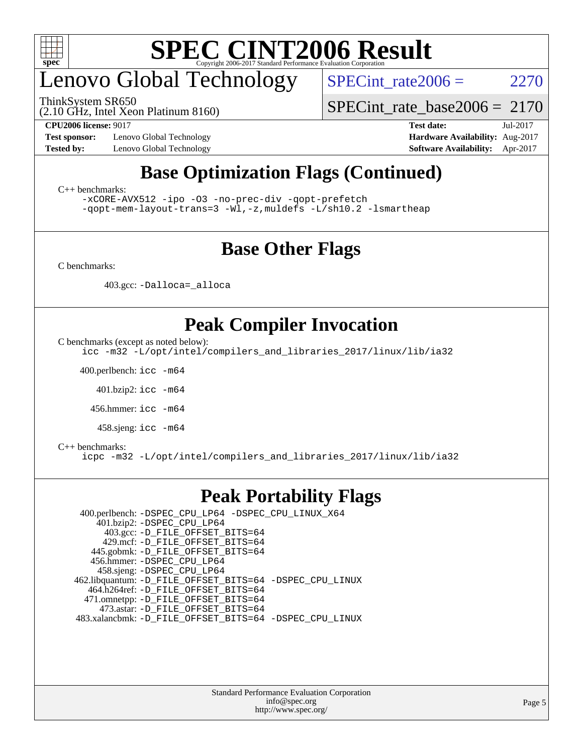

### enovo Global Technology

(2.10 GHz, Intel Xeon Platinum 8160) ThinkSystem SR650

SPECint rate $2006 = 2270$ 

[SPECint\\_rate\\_base2006 =](http://www.spec.org/auto/cpu2006/Docs/result-fields.html#SPECintratebase2006) 2170

**[Test sponsor:](http://www.spec.org/auto/cpu2006/Docs/result-fields.html#Testsponsor)** Lenovo Global Technology **[Hardware Availability:](http://www.spec.org/auto/cpu2006/Docs/result-fields.html#HardwareAvailability)** Aug-2017

**[CPU2006 license:](http://www.spec.org/auto/cpu2006/Docs/result-fields.html#CPU2006license)** 9017 **[Test date:](http://www.spec.org/auto/cpu2006/Docs/result-fields.html#Testdate)** Jul-2017 **[Tested by:](http://www.spec.org/auto/cpu2006/Docs/result-fields.html#Testedby)** Lenovo Global Technology **[Software Availability:](http://www.spec.org/auto/cpu2006/Docs/result-fields.html#SoftwareAvailability)** Apr-2017

#### **[Base Optimization Flags \(Continued\)](http://www.spec.org/auto/cpu2006/Docs/result-fields.html#BaseOptimizationFlags)**

[C++ benchmarks:](http://www.spec.org/auto/cpu2006/Docs/result-fields.html#CXXbenchmarks)

[-xCORE-AVX512](http://www.spec.org/cpu2006/results/res2017q4/cpu2006-20170918-49780.flags.html#user_CXXbase_f-xCORE-AVX512) [-ipo](http://www.spec.org/cpu2006/results/res2017q4/cpu2006-20170918-49780.flags.html#user_CXXbase_f-ipo) [-O3](http://www.spec.org/cpu2006/results/res2017q4/cpu2006-20170918-49780.flags.html#user_CXXbase_f-O3) [-no-prec-div](http://www.spec.org/cpu2006/results/res2017q4/cpu2006-20170918-49780.flags.html#user_CXXbase_f-no-prec-div) [-qopt-prefetch](http://www.spec.org/cpu2006/results/res2017q4/cpu2006-20170918-49780.flags.html#user_CXXbase_f-qopt-prefetch) [-qopt-mem-layout-trans=3](http://www.spec.org/cpu2006/results/res2017q4/cpu2006-20170918-49780.flags.html#user_CXXbase_f-qopt-mem-layout-trans_170f5be61cd2cedc9b54468c59262d5d) [-Wl,-z,muldefs](http://www.spec.org/cpu2006/results/res2017q4/cpu2006-20170918-49780.flags.html#user_CXXbase_link_force_multiple1_74079c344b956b9658436fd1b6dd3a8a) [-L/sh10.2 -lsmartheap](http://www.spec.org/cpu2006/results/res2017q4/cpu2006-20170918-49780.flags.html#user_CXXbase_SmartHeap_b831f2d313e2fffa6dfe3f00ffc1f1c0)

#### **[Base Other Flags](http://www.spec.org/auto/cpu2006/Docs/result-fields.html#BaseOtherFlags)**

[C benchmarks](http://www.spec.org/auto/cpu2006/Docs/result-fields.html#Cbenchmarks):

403.gcc: [-Dalloca=\\_alloca](http://www.spec.org/cpu2006/results/res2017q4/cpu2006-20170918-49780.flags.html#b403.gcc_baseEXTRA_CFLAGS_Dalloca_be3056838c12de2578596ca5467af7f3)

#### **[Peak Compiler Invocation](http://www.spec.org/auto/cpu2006/Docs/result-fields.html#PeakCompilerInvocation)**

[C benchmarks \(except as noted below\)](http://www.spec.org/auto/cpu2006/Docs/result-fields.html#Cbenchmarksexceptasnotedbelow):

[icc -m32 -L/opt/intel/compilers\\_and\\_libraries\\_2017/linux/lib/ia32](http://www.spec.org/cpu2006/results/res2017q4/cpu2006-20170918-49780.flags.html#user_CCpeak_intel_icc_c29f3ff5a7ed067b11e4ec10a03f03ae)

400.perlbench: [icc -m64](http://www.spec.org/cpu2006/results/res2017q4/cpu2006-20170918-49780.flags.html#user_peakCCLD400_perlbench_intel_icc_64bit_bda6cc9af1fdbb0edc3795bac97ada53)

401.bzip2: [icc -m64](http://www.spec.org/cpu2006/results/res2017q4/cpu2006-20170918-49780.flags.html#user_peakCCLD401_bzip2_intel_icc_64bit_bda6cc9af1fdbb0edc3795bac97ada53)

456.hmmer: [icc -m64](http://www.spec.org/cpu2006/results/res2017q4/cpu2006-20170918-49780.flags.html#user_peakCCLD456_hmmer_intel_icc_64bit_bda6cc9af1fdbb0edc3795bac97ada53)

458.sjeng: [icc -m64](http://www.spec.org/cpu2006/results/res2017q4/cpu2006-20170918-49780.flags.html#user_peakCCLD458_sjeng_intel_icc_64bit_bda6cc9af1fdbb0edc3795bac97ada53)

#### [C++ benchmarks:](http://www.spec.org/auto/cpu2006/Docs/result-fields.html#CXXbenchmarks)

[icpc -m32 -L/opt/intel/compilers\\_and\\_libraries\\_2017/linux/lib/ia32](http://www.spec.org/cpu2006/results/res2017q4/cpu2006-20170918-49780.flags.html#user_CXXpeak_intel_icpc_8c35c7808b62dab9ae41a1aa06361b6b)

#### **[Peak Portability Flags](http://www.spec.org/auto/cpu2006/Docs/result-fields.html#PeakPortabilityFlags)**

 400.perlbench: [-DSPEC\\_CPU\\_LP64](http://www.spec.org/cpu2006/results/res2017q4/cpu2006-20170918-49780.flags.html#b400.perlbench_peakCPORTABILITY_DSPEC_CPU_LP64) [-DSPEC\\_CPU\\_LINUX\\_X64](http://www.spec.org/cpu2006/results/res2017q4/cpu2006-20170918-49780.flags.html#b400.perlbench_peakCPORTABILITY_DSPEC_CPU_LINUX_X64) 401.bzip2: [-DSPEC\\_CPU\\_LP64](http://www.spec.org/cpu2006/results/res2017q4/cpu2006-20170918-49780.flags.html#suite_peakCPORTABILITY401_bzip2_DSPEC_CPU_LP64) 403.gcc: [-D\\_FILE\\_OFFSET\\_BITS=64](http://www.spec.org/cpu2006/results/res2017q4/cpu2006-20170918-49780.flags.html#user_peakPORTABILITY403_gcc_file_offset_bits_64_438cf9856305ebd76870a2c6dc2689ab) 429.mcf: [-D\\_FILE\\_OFFSET\\_BITS=64](http://www.spec.org/cpu2006/results/res2017q4/cpu2006-20170918-49780.flags.html#user_peakPORTABILITY429_mcf_file_offset_bits_64_438cf9856305ebd76870a2c6dc2689ab) 445.gobmk: [-D\\_FILE\\_OFFSET\\_BITS=64](http://www.spec.org/cpu2006/results/res2017q4/cpu2006-20170918-49780.flags.html#user_peakPORTABILITY445_gobmk_file_offset_bits_64_438cf9856305ebd76870a2c6dc2689ab) 456.hmmer: [-DSPEC\\_CPU\\_LP64](http://www.spec.org/cpu2006/results/res2017q4/cpu2006-20170918-49780.flags.html#suite_peakCPORTABILITY456_hmmer_DSPEC_CPU_LP64) 458.sjeng: [-DSPEC\\_CPU\\_LP64](http://www.spec.org/cpu2006/results/res2017q4/cpu2006-20170918-49780.flags.html#suite_peakCPORTABILITY458_sjeng_DSPEC_CPU_LP64) 462.libquantum: [-D\\_FILE\\_OFFSET\\_BITS=64](http://www.spec.org/cpu2006/results/res2017q4/cpu2006-20170918-49780.flags.html#user_peakPORTABILITY462_libquantum_file_offset_bits_64_438cf9856305ebd76870a2c6dc2689ab) [-DSPEC\\_CPU\\_LINUX](http://www.spec.org/cpu2006/results/res2017q4/cpu2006-20170918-49780.flags.html#b462.libquantum_peakCPORTABILITY_DSPEC_CPU_LINUX) 464.h264ref: [-D\\_FILE\\_OFFSET\\_BITS=64](http://www.spec.org/cpu2006/results/res2017q4/cpu2006-20170918-49780.flags.html#user_peakPORTABILITY464_h264ref_file_offset_bits_64_438cf9856305ebd76870a2c6dc2689ab) 471.omnetpp: [-D\\_FILE\\_OFFSET\\_BITS=64](http://www.spec.org/cpu2006/results/res2017q4/cpu2006-20170918-49780.flags.html#user_peakPORTABILITY471_omnetpp_file_offset_bits_64_438cf9856305ebd76870a2c6dc2689ab) 473.astar: [-D\\_FILE\\_OFFSET\\_BITS=64](http://www.spec.org/cpu2006/results/res2017q4/cpu2006-20170918-49780.flags.html#user_peakPORTABILITY473_astar_file_offset_bits_64_438cf9856305ebd76870a2c6dc2689ab) 483.xalancbmk: [-D\\_FILE\\_OFFSET\\_BITS=64](http://www.spec.org/cpu2006/results/res2017q4/cpu2006-20170918-49780.flags.html#user_peakPORTABILITY483_xalancbmk_file_offset_bits_64_438cf9856305ebd76870a2c6dc2689ab) [-DSPEC\\_CPU\\_LINUX](http://www.spec.org/cpu2006/results/res2017q4/cpu2006-20170918-49780.flags.html#b483.xalancbmk_peakCXXPORTABILITY_DSPEC_CPU_LINUX)

> Standard Performance Evaluation Corporation [info@spec.org](mailto:info@spec.org) <http://www.spec.org/>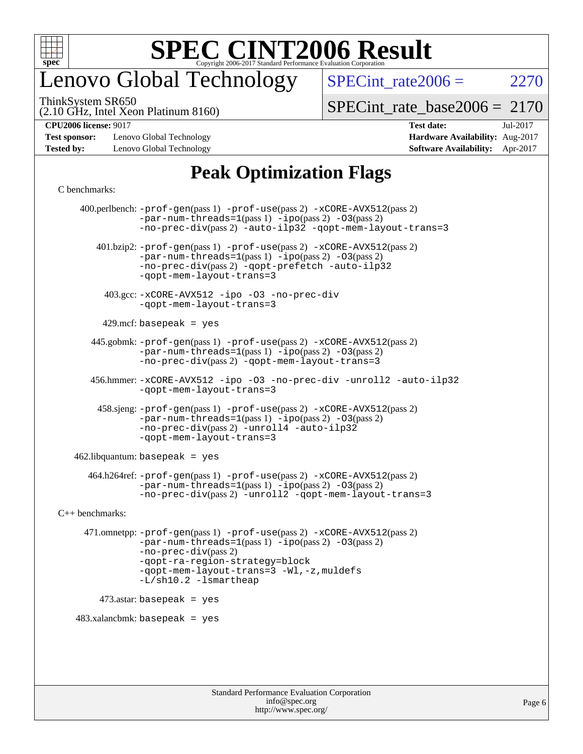

#### enovo Global Technology

SPECint rate $2006 = 2270$ 

ThinkSystem SR650

(2.10 GHz, Intel Xeon Platinum 8160)

[SPECint\\_rate\\_base2006 =](http://www.spec.org/auto/cpu2006/Docs/result-fields.html#SPECintratebase2006) 2170

**[Test sponsor:](http://www.spec.org/auto/cpu2006/Docs/result-fields.html#Testsponsor)** Lenovo Global Technology **[Hardware Availability:](http://www.spec.org/auto/cpu2006/Docs/result-fields.html#HardwareAvailability)** Aug-2017 **[Tested by:](http://www.spec.org/auto/cpu2006/Docs/result-fields.html#Testedby)** Lenovo Global Technology **[Software Availability:](http://www.spec.org/auto/cpu2006/Docs/result-fields.html#SoftwareAvailability)** Apr-2017

**[CPU2006 license:](http://www.spec.org/auto/cpu2006/Docs/result-fields.html#CPU2006license)** 9017 **[Test date:](http://www.spec.org/auto/cpu2006/Docs/result-fields.html#Testdate)** Jul-2017

#### **[Peak Optimization Flags](http://www.spec.org/auto/cpu2006/Docs/result-fields.html#PeakOptimizationFlags)**

#### [C benchmarks](http://www.spec.org/auto/cpu2006/Docs/result-fields.html#Cbenchmarks):

 400.perlbench: [-prof-gen](http://www.spec.org/cpu2006/results/res2017q4/cpu2006-20170918-49780.flags.html#user_peakPASS1_CFLAGSPASS1_LDCFLAGS400_perlbench_prof_gen_e43856698f6ca7b7e442dfd80e94a8fc)(pass 1) [-prof-use](http://www.spec.org/cpu2006/results/res2017q4/cpu2006-20170918-49780.flags.html#user_peakPASS2_CFLAGSPASS2_LDCFLAGS400_perlbench_prof_use_bccf7792157ff70d64e32fe3e1250b55)(pass 2) [-xCORE-AVX512](http://www.spec.org/cpu2006/results/res2017q4/cpu2006-20170918-49780.flags.html#user_peakPASS2_CFLAGSPASS2_LDCFLAGS400_perlbench_f-xCORE-AVX512)(pass 2)  $-par-num-threads=1(pass 1) -ipo(pass 2) -O3(pass 2)$  $-par-num-threads=1(pass 1) -ipo(pass 2) -O3(pass 2)$  $-par-num-threads=1(pass 1) -ipo(pass 2) -O3(pass 2)$  $-par-num-threads=1(pass 1) -ipo(pass 2) -O3(pass 2)$  $-par-num-threads=1(pass 1) -ipo(pass 2) -O3(pass 2)$  $-par-num-threads=1(pass 1) -ipo(pass 2) -O3(pass 2)$ [-no-prec-div](http://www.spec.org/cpu2006/results/res2017q4/cpu2006-20170918-49780.flags.html#user_peakPASS2_CFLAGSPASS2_LDCFLAGS400_perlbench_f-no-prec-div)(pass 2) [-auto-ilp32](http://www.spec.org/cpu2006/results/res2017q4/cpu2006-20170918-49780.flags.html#user_peakCOPTIMIZE400_perlbench_f-auto-ilp32) [-qopt-mem-layout-trans=3](http://www.spec.org/cpu2006/results/res2017q4/cpu2006-20170918-49780.flags.html#user_peakCOPTIMIZE400_perlbench_f-qopt-mem-layout-trans_170f5be61cd2cedc9b54468c59262d5d) 401.bzip2: [-prof-gen](http://www.spec.org/cpu2006/results/res2017q4/cpu2006-20170918-49780.flags.html#user_peakPASS1_CFLAGSPASS1_LDCFLAGS401_bzip2_prof_gen_e43856698f6ca7b7e442dfd80e94a8fc)(pass 1) [-prof-use](http://www.spec.org/cpu2006/results/res2017q4/cpu2006-20170918-49780.flags.html#user_peakPASS2_CFLAGSPASS2_LDCFLAGS401_bzip2_prof_use_bccf7792157ff70d64e32fe3e1250b55)(pass 2) [-xCORE-AVX512](http://www.spec.org/cpu2006/results/res2017q4/cpu2006-20170918-49780.flags.html#user_peakPASS2_CFLAGSPASS2_LDCFLAGS401_bzip2_f-xCORE-AVX512)(pass 2) [-par-num-threads=1](http://www.spec.org/cpu2006/results/res2017q4/cpu2006-20170918-49780.flags.html#user_peakPASS1_CFLAGSPASS1_LDCFLAGS401_bzip2_par_num_threads_786a6ff141b4e9e90432e998842df6c2)(pass 1) [-ipo](http://www.spec.org/cpu2006/results/res2017q4/cpu2006-20170918-49780.flags.html#user_peakPASS2_CFLAGSPASS2_LDCFLAGS401_bzip2_f-ipo)(pass 2) [-O3](http://www.spec.org/cpu2006/results/res2017q4/cpu2006-20170918-49780.flags.html#user_peakPASS2_CFLAGSPASS2_LDCFLAGS401_bzip2_f-O3)(pass 2) [-no-prec-div](http://www.spec.org/cpu2006/results/res2017q4/cpu2006-20170918-49780.flags.html#user_peakPASS2_CFLAGSPASS2_LDCFLAGS401_bzip2_f-no-prec-div)(pass 2) [-qopt-prefetch](http://www.spec.org/cpu2006/results/res2017q4/cpu2006-20170918-49780.flags.html#user_peakCOPTIMIZE401_bzip2_f-qopt-prefetch) [-auto-ilp32](http://www.spec.org/cpu2006/results/res2017q4/cpu2006-20170918-49780.flags.html#user_peakCOPTIMIZE401_bzip2_f-auto-ilp32) [-qopt-mem-layout-trans=3](http://www.spec.org/cpu2006/results/res2017q4/cpu2006-20170918-49780.flags.html#user_peakCOPTIMIZE401_bzip2_f-qopt-mem-layout-trans_170f5be61cd2cedc9b54468c59262d5d) 403.gcc: [-xCORE-AVX512](http://www.spec.org/cpu2006/results/res2017q4/cpu2006-20170918-49780.flags.html#user_peakOPTIMIZE403_gcc_f-xCORE-AVX512) [-ipo](http://www.spec.org/cpu2006/results/res2017q4/cpu2006-20170918-49780.flags.html#user_peakOPTIMIZE403_gcc_f-ipo) [-O3](http://www.spec.org/cpu2006/results/res2017q4/cpu2006-20170918-49780.flags.html#user_peakOPTIMIZE403_gcc_f-O3) [-no-prec-div](http://www.spec.org/cpu2006/results/res2017q4/cpu2006-20170918-49780.flags.html#user_peakOPTIMIZE403_gcc_f-no-prec-div) [-qopt-mem-layout-trans=3](http://www.spec.org/cpu2006/results/res2017q4/cpu2006-20170918-49780.flags.html#user_peakCOPTIMIZE403_gcc_f-qopt-mem-layout-trans_170f5be61cd2cedc9b54468c59262d5d)  $429$ .mcf: basepeak = yes 445.gobmk: [-prof-gen](http://www.spec.org/cpu2006/results/res2017q4/cpu2006-20170918-49780.flags.html#user_peakPASS1_CFLAGSPASS1_LDCFLAGS445_gobmk_prof_gen_e43856698f6ca7b7e442dfd80e94a8fc)(pass 1) [-prof-use](http://www.spec.org/cpu2006/results/res2017q4/cpu2006-20170918-49780.flags.html#user_peakPASS2_CFLAGSPASS2_LDCFLAGSPASS2_LDFLAGS445_gobmk_prof_use_bccf7792157ff70d64e32fe3e1250b55)(pass 2) [-xCORE-AVX512](http://www.spec.org/cpu2006/results/res2017q4/cpu2006-20170918-49780.flags.html#user_peakPASS2_CFLAGSPASS2_LDCFLAGSPASS2_LDFLAGS445_gobmk_f-xCORE-AVX512)(pass 2) [-par-num-threads=1](http://www.spec.org/cpu2006/results/res2017q4/cpu2006-20170918-49780.flags.html#user_peakPASS1_CFLAGSPASS1_LDCFLAGS445_gobmk_par_num_threads_786a6ff141b4e9e90432e998842df6c2)(pass 1) [-ipo](http://www.spec.org/cpu2006/results/res2017q4/cpu2006-20170918-49780.flags.html#user_peakPASS2_LDCFLAGS445_gobmk_f-ipo)(pass 2) [-O3](http://www.spec.org/cpu2006/results/res2017q4/cpu2006-20170918-49780.flags.html#user_peakPASS2_LDCFLAGS445_gobmk_f-O3)(pass 2) [-no-prec-div](http://www.spec.org/cpu2006/results/res2017q4/cpu2006-20170918-49780.flags.html#user_peakPASS2_LDCFLAGS445_gobmk_f-no-prec-div)(pass 2) [-qopt-mem-layout-trans=3](http://www.spec.org/cpu2006/results/res2017q4/cpu2006-20170918-49780.flags.html#user_peakCOPTIMIZE445_gobmk_f-qopt-mem-layout-trans_170f5be61cd2cedc9b54468c59262d5d) 456.hmmer: [-xCORE-AVX512](http://www.spec.org/cpu2006/results/res2017q4/cpu2006-20170918-49780.flags.html#user_peakOPTIMIZE456_hmmer_f-xCORE-AVX512) [-ipo](http://www.spec.org/cpu2006/results/res2017q4/cpu2006-20170918-49780.flags.html#user_peakOPTIMIZE456_hmmer_f-ipo) [-O3](http://www.spec.org/cpu2006/results/res2017q4/cpu2006-20170918-49780.flags.html#user_peakOPTIMIZE456_hmmer_f-O3) [-no-prec-div](http://www.spec.org/cpu2006/results/res2017q4/cpu2006-20170918-49780.flags.html#user_peakOPTIMIZE456_hmmer_f-no-prec-div) [-unroll2](http://www.spec.org/cpu2006/results/res2017q4/cpu2006-20170918-49780.flags.html#user_peakCOPTIMIZE456_hmmer_f-unroll_784dae83bebfb236979b41d2422d7ec2) [-auto-ilp32](http://www.spec.org/cpu2006/results/res2017q4/cpu2006-20170918-49780.flags.html#user_peakCOPTIMIZE456_hmmer_f-auto-ilp32) [-qopt-mem-layout-trans=3](http://www.spec.org/cpu2006/results/res2017q4/cpu2006-20170918-49780.flags.html#user_peakCOPTIMIZE456_hmmer_f-qopt-mem-layout-trans_170f5be61cd2cedc9b54468c59262d5d) 458.sjeng: [-prof-gen](http://www.spec.org/cpu2006/results/res2017q4/cpu2006-20170918-49780.flags.html#user_peakPASS1_CFLAGSPASS1_LDCFLAGS458_sjeng_prof_gen_e43856698f6ca7b7e442dfd80e94a8fc)(pass 1) [-prof-use](http://www.spec.org/cpu2006/results/res2017q4/cpu2006-20170918-49780.flags.html#user_peakPASS2_CFLAGSPASS2_LDCFLAGS458_sjeng_prof_use_bccf7792157ff70d64e32fe3e1250b55)(pass 2) [-xCORE-AVX512](http://www.spec.org/cpu2006/results/res2017q4/cpu2006-20170918-49780.flags.html#user_peakPASS2_CFLAGSPASS2_LDCFLAGS458_sjeng_f-xCORE-AVX512)(pass 2) [-par-num-threads=1](http://www.spec.org/cpu2006/results/res2017q4/cpu2006-20170918-49780.flags.html#user_peakPASS1_CFLAGSPASS1_LDCFLAGS458_sjeng_par_num_threads_786a6ff141b4e9e90432e998842df6c2)(pass 1) [-ipo](http://www.spec.org/cpu2006/results/res2017q4/cpu2006-20170918-49780.flags.html#user_peakPASS2_CFLAGSPASS2_LDCFLAGS458_sjeng_f-ipo)(pass 2) [-O3](http://www.spec.org/cpu2006/results/res2017q4/cpu2006-20170918-49780.flags.html#user_peakPASS2_CFLAGSPASS2_LDCFLAGS458_sjeng_f-O3)(pass 2) [-no-prec-div](http://www.spec.org/cpu2006/results/res2017q4/cpu2006-20170918-49780.flags.html#user_peakPASS2_CFLAGSPASS2_LDCFLAGS458_sjeng_f-no-prec-div)(pass 2) [-unroll4](http://www.spec.org/cpu2006/results/res2017q4/cpu2006-20170918-49780.flags.html#user_peakCOPTIMIZE458_sjeng_f-unroll_4e5e4ed65b7fd20bdcd365bec371b81f) [-auto-ilp32](http://www.spec.org/cpu2006/results/res2017q4/cpu2006-20170918-49780.flags.html#user_peakCOPTIMIZE458_sjeng_f-auto-ilp32) [-qopt-mem-layout-trans=3](http://www.spec.org/cpu2006/results/res2017q4/cpu2006-20170918-49780.flags.html#user_peakCOPTIMIZE458_sjeng_f-qopt-mem-layout-trans_170f5be61cd2cedc9b54468c59262d5d)  $462$ .libquantum: basepeak = yes 464.h264ref: [-prof-gen](http://www.spec.org/cpu2006/results/res2017q4/cpu2006-20170918-49780.flags.html#user_peakPASS1_CFLAGSPASS1_LDCFLAGS464_h264ref_prof_gen_e43856698f6ca7b7e442dfd80e94a8fc)(pass 1) [-prof-use](http://www.spec.org/cpu2006/results/res2017q4/cpu2006-20170918-49780.flags.html#user_peakPASS2_CFLAGSPASS2_LDCFLAGS464_h264ref_prof_use_bccf7792157ff70d64e32fe3e1250b55)(pass 2) [-xCORE-AVX512](http://www.spec.org/cpu2006/results/res2017q4/cpu2006-20170918-49780.flags.html#user_peakPASS2_CFLAGSPASS2_LDCFLAGS464_h264ref_f-xCORE-AVX512)(pass 2) [-par-num-threads=1](http://www.spec.org/cpu2006/results/res2017q4/cpu2006-20170918-49780.flags.html#user_peakPASS1_CFLAGSPASS1_LDCFLAGS464_h264ref_par_num_threads_786a6ff141b4e9e90432e998842df6c2)(pass 1) [-ipo](http://www.spec.org/cpu2006/results/res2017q4/cpu2006-20170918-49780.flags.html#user_peakPASS2_CFLAGSPASS2_LDCFLAGS464_h264ref_f-ipo)(pass 2) [-O3](http://www.spec.org/cpu2006/results/res2017q4/cpu2006-20170918-49780.flags.html#user_peakPASS2_CFLAGSPASS2_LDCFLAGS464_h264ref_f-O3)(pass 2) [-no-prec-div](http://www.spec.org/cpu2006/results/res2017q4/cpu2006-20170918-49780.flags.html#user_peakPASS2_CFLAGSPASS2_LDCFLAGS464_h264ref_f-no-prec-div)(pass 2) [-unroll2](http://www.spec.org/cpu2006/results/res2017q4/cpu2006-20170918-49780.flags.html#user_peakCOPTIMIZE464_h264ref_f-unroll_784dae83bebfb236979b41d2422d7ec2) [-qopt-mem-layout-trans=3](http://www.spec.org/cpu2006/results/res2017q4/cpu2006-20170918-49780.flags.html#user_peakCOPTIMIZE464_h264ref_f-qopt-mem-layout-trans_170f5be61cd2cedc9b54468c59262d5d) [C++ benchmarks:](http://www.spec.org/auto/cpu2006/Docs/result-fields.html#CXXbenchmarks) 471.omnetpp: [-prof-gen](http://www.spec.org/cpu2006/results/res2017q4/cpu2006-20170918-49780.flags.html#user_peakPASS1_CXXFLAGSPASS1_LDCXXFLAGS471_omnetpp_prof_gen_e43856698f6ca7b7e442dfd80e94a8fc)(pass 1) [-prof-use](http://www.spec.org/cpu2006/results/res2017q4/cpu2006-20170918-49780.flags.html#user_peakPASS2_CXXFLAGSPASS2_LDCXXFLAGS471_omnetpp_prof_use_bccf7792157ff70d64e32fe3e1250b55)(pass 2) [-xCORE-AVX512](http://www.spec.org/cpu2006/results/res2017q4/cpu2006-20170918-49780.flags.html#user_peakPASS2_CXXFLAGSPASS2_LDCXXFLAGS471_omnetpp_f-xCORE-AVX512)(pass 2) [-par-num-threads=1](http://www.spec.org/cpu2006/results/res2017q4/cpu2006-20170918-49780.flags.html#user_peakPASS1_CXXFLAGSPASS1_LDCXXFLAGS471_omnetpp_par_num_threads_786a6ff141b4e9e90432e998842df6c2)(pass 1) [-ipo](http://www.spec.org/cpu2006/results/res2017q4/cpu2006-20170918-49780.flags.html#user_peakPASS2_CXXFLAGSPASS2_LDCXXFLAGS471_omnetpp_f-ipo)(pass 2) [-O3](http://www.spec.org/cpu2006/results/res2017q4/cpu2006-20170918-49780.flags.html#user_peakPASS2_CXXFLAGSPASS2_LDCXXFLAGS471_omnetpp_f-O3)(pass 2) [-no-prec-div](http://www.spec.org/cpu2006/results/res2017q4/cpu2006-20170918-49780.flags.html#user_peakPASS2_CXXFLAGSPASS2_LDCXXFLAGS471_omnetpp_f-no-prec-div)(pass 2) [-qopt-ra-region-strategy=block](http://www.spec.org/cpu2006/results/res2017q4/cpu2006-20170918-49780.flags.html#user_peakCXXOPTIMIZE471_omnetpp_f-qopt-ra-region-strategy_430aa8f7c220cbde92ae827fa8d9be32)  [-qopt-mem-layout-trans=3](http://www.spec.org/cpu2006/results/res2017q4/cpu2006-20170918-49780.flags.html#user_peakCXXOPTIMIZE471_omnetpp_f-qopt-mem-layout-trans_170f5be61cd2cedc9b54468c59262d5d) [-Wl,-z,muldefs](http://www.spec.org/cpu2006/results/res2017q4/cpu2006-20170918-49780.flags.html#user_peakEXTRA_LDFLAGS471_omnetpp_link_force_multiple1_74079c344b956b9658436fd1b6dd3a8a) [-L/sh10.2 -lsmartheap](http://www.spec.org/cpu2006/results/res2017q4/cpu2006-20170918-49780.flags.html#user_peakEXTRA_LIBS471_omnetpp_SmartHeap_b831f2d313e2fffa6dfe3f00ffc1f1c0) 473.astar: basepeak = yes  $483.xalanchmk: basepeak = yes$